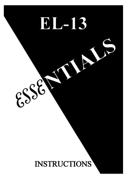# EL-13

ESSE

### **INSTRUCTIONS**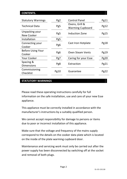#### **CONTENTS.**

| <b>Statutory Warnings</b>          | Pg2  | <b>Control Panel</b>                      | Pg11        |
|------------------------------------|------|-------------------------------------------|-------------|
| <b>Technical Data</b>              | Pg5  | Ovens, Grill &<br><b>Warming Cupboard</b> | Pg12        |
| Unpacking your<br>New Cooker       | Pg5  | Induction Zone                            | Pg15        |
| Installation                       | Pg5  |                                           |             |
| Connecting your<br>Cooker          | Pg6  | Cast Iron Hotplate                        |             |
| <b>Before Using Your</b><br>Cooker | Pg6  | <b>Oven Steam Vents</b>                   | Pg19        |
| Your Cooker                        | Pg7  | Caring for your Esse                      | <b>Pg20</b> |
| Spacing &<br><b>Dimensions</b>     | Pg8  | Extraction                                | Pg21        |
| Commissioning<br>Checklist         | Pg10 | Guarantee                                 | Pg22        |

#### **STATUTORY WARNINGS**

Please read these operating instructions carefully for full information on the safe installation, use and care of your new Esse appliance.

This appliance must be correctly installed in accordance with the manufacturer's instructions by a suitably qualified person.

We cannot accept responsibility for damage to persons or items due to poor or incorrect installation of this appliance.

Make sure that the voltage and frequency of the mains supply correspond to the details on the cooker data plate which is located on the inside of the plate warming cupboard door.

Maintenance and servicing work must only be carried out after the power supply has been disconnected by switching off at the socket and removal of both plugs.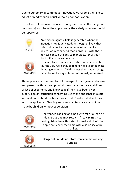Due to our policy of continuous innovation, we reserve the right to adjust or modify our product without prior notification.

Do not let children near the oven during use to avoid the danger of burns or injury. Use of the appliance by the elderly or infirm should be supervised.

| <b>NOTE</b> | An electromagnetic field is generated when the<br>induction hob is activated. Although unlikely that<br>this could affect a pacemaker of other medical<br>device, we recommend that individuals with these<br>devices consult the device manufacturer or your |
|-------------|---------------------------------------------------------------------------------------------------------------------------------------------------------------------------------------------------------------------------------------------------------------|
|             | doctor if you have concerns.                                                                                                                                                                                                                                  |
|             | The appliance and its accessible parts become hot                                                                                                                                                                                                             |
|             | during use. Care should be taken to avoid touching                                                                                                                                                                                                            |
|             | heating elements. Children less than 8 years of age                                                                                                                                                                                                           |
| WARNING     | shall be kept away unless continuously supervised.                                                                                                                                                                                                            |

This appliance can be used by children aged from 8 years and above and persons with reduced physical, sensory or mental capabilities or lack of experience and knowledge if they have been given supervision or instruction concerning use of the appliance in a safe way and understand the hazards involved. Children shall not play with the appliance. Cleaning and user maintenance shall not be made by children without supervision.



Unattended cooking on a hob with fat or oil can be dangerous and may result in fire, **NEVER** try to extinguish a fire with water, instead switch off the appliance, cover the flame with a lid or use a fire blanket.



Danger of fire: do not store items on the cooking surfaces.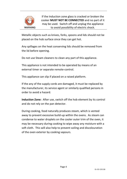

If the Induction zone glass is cracked or broken the cooker **MUST NOT BE CONNECTED** and no part of it may be used. Switch off and unplug the appliance to avoid possibility of electric shock.

Metallic objects such as knives, forks, spoons and lids should not be placed on the hob surface since they can get hot.

Any spillages on the heat conserving lids should be removed from the lid before opening.

Do not use Steam cleaners to clean any part of this appliance.

This appliance is not intended to be operated by means of an external timer or separate remote-control.

This appliance can slip if placed on a raised platform.

If the any of the supply cords are damaged, it must be replaced by the manufacturer, its service agent or similarly qualified persons in order to avoid a hazard.

**Induction Zone:** After use, switch off the hob element by its control and do not rely on the pan detector.

During cooking, food naturally produces steam, which is vented away to prevent excessive build-up within the ovens. As steam can condense to water droplets on the cooler outer trim of the oven, it may be necessary during cooking to wipe away any moisture with a soft cloth. This will also help to prevent soiling and discolouration of the oven exterior by cooking vapours.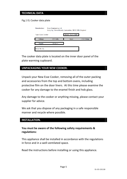#### **TECHNICAL DATA**

#### Fig.1 EL Cooker data plate

| <b>Manufacturer:</b> | <b>Esse Engineering Ltd</b><br>Long Ing, Barnoldswick, Lancashire, BB18 6BN, England |                   |           |  |
|----------------------|--------------------------------------------------------------------------------------|-------------------|-----------|--|
| Type: Esse Cooker    |                                                                                      | Model: "EL13 AMP" |           |  |
| Voltage              | 230 Volts                                                                            | Input             | 2 X 13Amp |  |
| Supply               | 50 Hz $\sim$                                                                         |                   |           |  |
| Serial No: EL-       |                                                                                      |                   |           |  |

The cooker data plate is located on the inner door panel of the plate warming cupboard.

#### **UNPACKAGING YOUR NEW COOKER.**

Unpack your New Esse Cooker, removing all of the outer packing and accessories from the top and bottom ovens, including protective film on the door liners. At this time please examine the cooker for any damage to the enamel finish and hob glass.

Any damage to the cooker or anything missing, please contact your supplier for advice.

We ask that you dispose of any packaging in a safe responsible manner and recycle where possible.

#### **INSTALLATION.**

#### **You must be aware of the following safety requirements & regulations:**

This appliance shall be installed in accordance with the regulations in force and in a well-ventilated space.

Read the instructions before installing or using this appliance.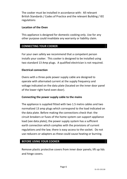The cooker must be installed in accordance with: All relevant British Standards / Codes of Practice and the relevant Building / IEE regulations

#### **Location of the Oven**

This appliance is designed for domestic cooking only. Use for any other purpose could invalidate any warranty or liability claim.

#### **CONNECTING YOUR COOKER**

For your own safety we recommend that a competent person installs your cooker. This cooker is designed to be installed using two standard 13 Amp plugs. A qualified electrician is not required.

#### **Electrical connection**

Ovens with a three-pole power supply cable are designed to operate with alternated current at the supply frequency and voltage indicated on the data plate (located on the inner door panel of the lower right hand oven door).

#### **Connecting the power supply cable to the mains**

The appliance is supplied fitted with two 1.5 metre cables and two normalized 13 amp plugs which correspond to the load indicated on the data plate. Before making the connections check that: the circuit breakers or fuses of the home system can support appliance load (see data plate); the power supply system has a sufficient earth connection which complies with the provisions of current regulations and the law; there is easy access to the socket. Do not use reducers or adapters as these could cause heating or burning.

#### **BEFORE USING YOUR COOKER**

Remove plastic protective covers from inner door panels; lift up lids and hinge covers.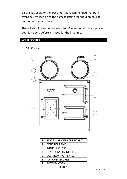Before you cook for the first time, it is recommended that both ovens be switched on to the highest setting for about an hour to burn off any initial odours

The grill should also be turned on for 15 minutes with the top oven door left open, before it is used for the first time.

#### **YOUR COOKER.**

Fig.2 EL Cooker



| 1              | PLATE WARMING CUPBOARD.      |
|----------------|------------------------------|
| $\overline{2}$ | <b>CONTROL PANEL.</b>        |
| 3              | <b>INDUCTION ZONE.</b>       |
| 4              | <b>HEAT CONSERVING LIDS.</b> |
| 5              | CAST IRON HOTPLATE.          |
| 6              | TOP OVEN & GRILL.            |
| 7              | BOTTOM OVEN.                 |
|                |                              |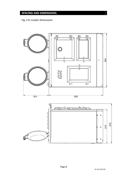#### **SPACING AND DIMENSIONS.**

Fig. 3 EL Cooker Dimensions



 $\ddot{\circ}$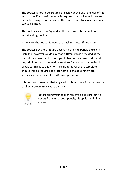The cooker is not to be grouted or sealed at the back or sides of the worktop as if any maintenance is required the cooker will have to be pulled away from the wall at the rear. This is to allow the cooker top to be lifted.

The cooker weighs 327kg and so the floor must be capable of withstanding the load.

Make sure the cooker is level, use packing pieces if necessary.

The cooker does not require access via the side panels once it is installed, however we do ask that a 10mm gap is provided at the rear of the cooker and a 3mm gap between the cooker sides and any adjoining non-combustible work surfaces that may be fitted is provided, this is to allow for the safe removal of the top plate should this be required at a later date. If the adjoining work surfaces are combustible, a 20mm gap is required.

It is not recommended that any wall cupboards are fitted above the cooker as steam may cause damage.



Before using your cooker remove plastic protective covers from inner door panels; lift up lids and hinge covers.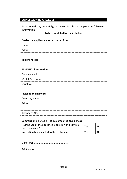#### **COMMISSIONING CHECKLIST**

To assist with any potential guarantee claim please complete the following information:-

#### **To be completed by the installer.**

| Dealer the appliance was purchased from:                                |     |    |  |
|-------------------------------------------------------------------------|-----|----|--|
| Name:                                                                   |     |    |  |
| Address:                                                                |     |    |  |
|                                                                         |     |    |  |
| Telephone No:                                                           |     |    |  |
|                                                                         |     |    |  |
| <b>ESSENTIAL information:</b>                                           |     |    |  |
| Date Installed                                                          |     |    |  |
| Model Description:                                                      |     |    |  |
| Serial No:                                                              |     |    |  |
|                                                                         |     |    |  |
| <b>Installation Engineer:</b>                                           |     |    |  |
| Company Name:                                                           |     |    |  |
| Address:                                                                |     |    |  |
|                                                                         |     |    |  |
| Telephone No:                                                           |     |    |  |
|                                                                         |     |    |  |
| Commissioning Checks - to be completed and signed:                      |     |    |  |
| Has the use of the appliance, operation and controls<br>been explained? | Yes | No |  |
| Instruction book handed to the customer?                                | Yes | No |  |
|                                                                         |     |    |  |

Signature:………………………………………………..

Print Name:…………………………………………………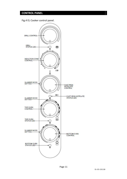#### **CONTROL PANEL**

Fig.4 EL Cooker control panel.

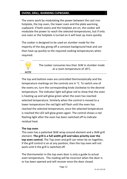#### **OVENS, GRILL, WARMING CUPBOARD.**

The ovens work by modulating the power between the cast iron hotplate, the top oven, the lower oven and the plate warming cupboard. If both ovens and the hotplate are on, the cooker will modulate the power to reach the selected temperatures, but if only one oven or the hotplate is turned on it will heat up more quickly.

The cooker is designed to be used on slumber mode for the majority of the day giving off a constant background heat and can then heat up quickly to the required cooking temperatures when required.

> The cooker consumes less than 1kW in slumber mode at a room temperature of 18°C.

**NOTE** 

The top and bottom oven are controlled thermostatically and the temperature markings on the controls are in °C. To switch one of the ovens on, turn the corresponding knob clockwise to the desired temperature. The indicator light will glow red to show that the oven is heating up and will glow green when the oven has reached selected temperature. Similarly when the control is moved to a lower temperature the red light will flash until the oven has reached the selected temperature, once the selected temperature is reached the LED will glow green again. The control shows a red flashing light after the oven has been switched off to indicate residual heat.

#### **The top oven**

This oven has a patented 3kW wrap around element and a 3kW grill element. **The grill is a full width grill and takes priority over the top oven control.** The Top oven and grill can never be on together, if the grill control is on at any position, then the top oven will not work until it the grill is switched off.

The thermometer in the top oven door is only a guide to actual oven temperature. The reading will be incorrect when the door is or has been opened and will recover once the door closed.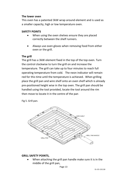#### **The lower oven**

This oven has a patented 3kW wrap around element and is used as a smaller capacity, high or low temperature oven.

#### **SAFETY POINTS**

- When using the oven shelves ensure they are placed correctly between the shelf runners.
- Always use oven gloves when removing food from either oven or the grill.

#### **The grill**

The grill has a 3kW element fixed in the top of the top oven. Turn the control clockwise to turn the grill on and increase the temperature. The grill can take up to four minutes to reach full operating temperature from cold. The neon indicator will remain red for this time until the temperature is achieved. When grilling place the grill pan and wire shelf onto an oven shelf which is already pre-positioned height wise in the top oven. The grill pan should be handled using the tool provided, locate the tool around the rim then move to locate it in the centre of the pan

Fig 5. Grill pan.



#### **GRILL SAFETY POINTS,**

 When attaching the grill pan handle make sure it is in the middle of the grill pan,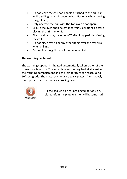- Do not leave the grill pan handle attached to the grill pan whilst grilling, as it will become hot. Use only when moving the grill pan,
- **Only operate the grill with the top oven door open.**
- Ensure the oven shelf height is correctly positioned before placing the grill pan on it.
- The towel rail may become **HOT** after long periods of using the grill.
- Do not place towels or any other items over the towel rail when grilling.
- Do not line the grill pan with Aluminium foil.

#### **The warming cupboard**

The warming cupboard is heated automatically when either of the ovens is switched on. The wire plate and cutlery basket sits inside the warming compartment and the temperature can reach up to 50°Centigrade. The plate rack holds up to six plates. Alternatively the cupboard can be used as a proving oven.



If the cooker is on for prolonged periods, any plates left in the plate warmer will become hot!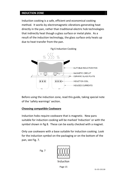#### **INDUCTION ZONE**

Induction cooking is a safe, efficient and economical cooking method. It works by electromagnetic vibrations generating heat directly in the pan, rather than traditional electric hob technologies that indirectly heat though a glass surface or metal plate. As a result of the induction technology, the glass surface only heats up due to heat transfer from the pan.



Before using the induction zone, read this guide, taking special note of the 'safety warnings' section.

#### **Choosing compatible Cookware**

Induction hobs require cookware that is magnetic. New pans suitable for induction cooking will be marked 'Induction' or with the symbol shown in fig 8. These can be easily checked with a magnet.

Only use cookware with a base suitable for induction cooking. Look for the induction symbol on the packaging or on the bottom of the pan, see Fig. 7.

Fig. 7



Induction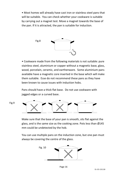• Most homes will already have cast iron or stainless steel pans that will be suitable. You can check whether your cookware is suitable by carrying out a magnet test. Move a magnet towards the base of the pan. If it is attracted, the pan is suitable for induction.



• Cookware made from the following materials is not suitable: pure stainless steel, aluminium or copper without a magnetic base, glass, wood, porcelain, ceramic, and earthenware. Some aluminium pans available have a magnetic core inserted in the base which will make them suitable. Esse do not recommend these pans as they have been known to cause issues with induction hobs.

Pans should have a thick flat base. Do not use cookware with jagged edges or a curved base.



Make sure that the base of your pan is smooth, sits flat against the glass, and is the same size as the cooking zone. Pots less than Ø145 mm could be undetected by the hob.

You can use multiple pans on the induction zone, but one pan must always be covering the centre of the glass.

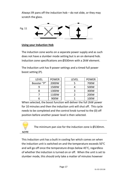Always lift pans off the induction hob  $-$  do not slide, or they may scratch the glass.



#### **Using your Induction Hob**

The induction zone works on a separate power supply and as such does not have a slumber mode setting but is an on demand hob. Induction zone specifications are Ø330mm with a 2kW element.

The Induction unit has 9 power settings and a timed full power boost setting (P).

| LEVEL       | <b>POWER</b> | LEVEL | <b>POWER</b> |
|-------------|--------------|-------|--------------|
| Booster "P" | 2000W        |       | 700W         |
| q           | 1500W        |       | 500W         |
| 8           | 1300W        | 3     | 300W         |
|             | 1100W        |       | 200W         |
| n           | 900W         |       | 100W         |
|             |              |       |              |

| VEL     | <b>POWER</b> | LEVEL | <b>POWER</b> |
|---------|--------------|-------|--------------|
| ter "P" | 2000W        |       | 700W         |
| 9       | 1500W        |       | 500W         |
| 8       | 1300W        |       | 300W         |
| 7       | 1100W        |       | 200W         |
| 6       | 900W         |       | 100W         |

When selected, the boost function will deliver the full 2kW power for 10 minutes and then the induction unit will shut off. This cycle needs to be completed and the control knob turned to the (0) off position before another power level is then selected.

The minimum pan size for the induction zone is Ø130mm.

**NOTE** 

This Induction unit has a built in cooling fan which comes on when the induction unit is switched on and the temperature exceeds 50°C and will go off once the temperature drops below 45°C, regardless of whether the induction is turned on or off. When the unit is set to slumber mode, this should only take a matter of minutes however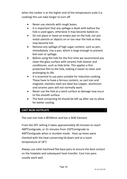when the cooker is at the higher end of the temperature scale (i.e. cooking) this can take longer to turn off.

- Never use utensils with rough bases.
- It is important that any spillage is dealt with before the hob is used again, otherwise it may become baked on.
- Do not place or leave an empty pan on the hob, nor put metal utensils or objects on or too near the hob as they may become hot.
- Remove any spillage of high sugar content, such as jam, immediately. Use a pan, which is large enough to prevent boil over or spillage.
- Before using the hob for the first time we recommend you clean the glass surface with ceramic hob cleaner and conditioner, such as Hob-brite. This applies a thin protective film to the hob, making it easier to clean and prolonging its life.
- It is essential to use pans suitable for induction cooking. These have to have a ferrous content, so cast iron and magnetic stainless steel are ideal but copper, aluminium and ceramic pans will not normally work.
- Never use the hob as a work surface as damage may occur to the smooth surface.
- The heat conserving lid should be left up after use to allow for better cooling.

#### **CAST IRON HOTPLATE**

The cast iron hob is Ø330mm and has a 3kW Element.

From the OFF setting it takes approximately 40 minutes to reach 400°Centigrade, or 31 minutes from 150°Centigrade to 400°Centigrade when in slumber mode. Heat up times were checked with the heat conserving lid down and at a room temperature of 18°C

Always use solid machined flat base pans to ensure the best contact on the hotplate and subsequent heat transfer. Cast iron pans usually work well.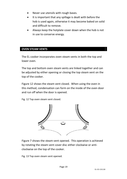- Never use utensils with rough bases.
- It is important that any spillage is dealt with before the hob is used again, otherwise it may become baked on solid and difficult to remove.
- Always keep the hotplate cover down when the hob is not in use to conserve energy.

#### **OVEN STEAM VENTS**

The EL cooker incorporates oven steam vents in both the top and lower oven.

The top and bottom oven steam vents are linked together and can be adjusted by either opening or closing the top steam vent on the top of the cooker.

Figure 12 shows the steam vent closed. When using the oven in this method, condensation can form on the inside of the oven door and run off when the door is opened.

Fig. 12 Top oven steam vent closed.



Figure 7 shows the steam vent opened. This operation is achieved by rotating the steam vent cover disc either clockwise or anticlockwise on the top of the cooker.

Fig. 13 Top oven steam vent opened.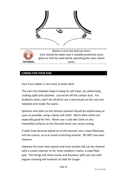

Steam is very hot and can burn. Care should be taken and a suitable protective oven glove or mitt be used whilst operating the oven steam **WARNING** vents.

#### **CARING FOR YOUR ESSE**

Your Esse cooker is very easy to keep clean.

The cast iron hotplate helps to keep its self clean, by carbonising cooking spills and splashes. Just brush off the carbon dust. For stubborn stains, don't be afraid to use a wire brush on the cast iron hotplate and inside the ovens.

Splashes and spills on the vitreous enamel should be wiped away as soon as possible, using a damp soft cloth. Micro-fibre cloths are especially good for this. Never use a cold wet cloth on any enamelled surfaces as the thermal shock can cause crazing.

If spills have become baked on to the enamel, use a soap filled pad, not too coarse, so as to avoid scratching enamel. DO NOT use oven cleaners.

Likewise the inner door panels and inner bolster lids can be cleaned with a cream cleanser or for more stubborn marks, a soap filled pad. The linings will show marks and discolour with use, but with regular cleaning will maintain its look for longer.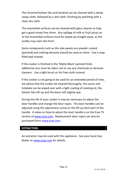The chromed bolster lids and handrail can be cleaned with a damp soapy cloth, followed by a wet cloth, finishing by polishing with a clean dry cloth.

The enamelled surfaces can be cleaned with glass cleaner to help get a good streak free shine. Any spillage of milk or fruit juices on to the enamelled surfaces must be wiped up straight away, as the acidity may stain the front.

Some components such as the side panels are powder coated (painted) and nothing abrasive should be used on them. Use a soap filled pad instead.

If the cooker is finished in the 'Matte Black' painted finish, additional care must be taken not to use any chemicals or abrasive cleaners. Use a light brush or lint free cloth instead.

If the cooker is not going to be used for an extended period of time, we advise that the cooker be cleaned thoroughly, the ovens and hotplate can be wiped over with a light coating of cooking oil, the bolster lids left up and the doors left slightly ajar.

During the life of your cooker it may be necessary to adjust the door handles and change the door ropes. The door handles can be adjusted using the adjustment screw on the lift up latch part of the handle. A video on how to adjust the door handle is on the Esse TV section of [www.esse.com.](http://www.esse.com/) Replacement door ropes can also be purchased for[m www.esse.com](http://www.esse.com/)

#### **EXTRACTION.**

An extractor may be used with this appliance. See your local Esse dealer or [www.esse.com](http://www.esse.com/) for details.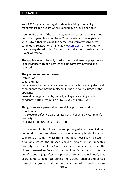#### **GUARANTEE.**

Your ESSE is guaranteed against defects arising from faulty manufacture for 2 years when supplied by an ESSE Specialist.

Upon registration of the warranty, ESSE will extend the guarantee period to 5 years from purchase. Your details must be registered with us by either returning the completed warranty card or by completing registration on-line a[t www.esse.com.](http://www.esse.com/) The warranty must be registered within 1 month of installation to qualify for the 5 year warranty.

The appliance must be only used for normal domestic purposes and in accordance with our instructions, be correctly installed and serviced.

#### **The guarantee does not cover:**

Installation

Wear and tear

Parts deemed to be replaceable or service parts including electrical components that may be replaced during the normal usage of the appliance.

Enamel damage caused by impact, spillage, water ingress or condensate attack from flue or by using unsuitable fuels.

This guarantee is personal to the original purchaser and not transferable.

Any stove or defective part replaced shall become the Company's property

#### **INTERMITTENT USE OF YOUR COOKER**

In the event of intermittent use and prolonged shutdown, it should be noted that in some circumstances enamel may be displaced due to ingress of damp. Whilst this is rare, it is most likely to occur in situations where the unused cooker remains in an unheated property. There is a layer (known as the ground coat) between the vitreous enamel surface and the cast iron. Ground coat is porous and if exposed (e.g. after a chip in the vitreous enamel coat), may allow damp to penetrate behind the vitreous enamel and spread through the ground coat. Surface oxidisation of the cast iron may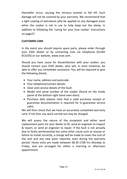thereafter occur, causing the vitreous enamel to fall off. Such damage will not be covered by your warranty. We recommend that a light coating of petroleum jelly be applied to any damaged areas when the cooker is not in use to help keep out the damp, in addition to following the 'caring for your Esse cooker' instructions on page27.

#### **CUSTOMER CARE**

In the event you should require spare parts, please order through your ESSE dealer or by contacting Esse via telephone (01282 813235) or our website, www.esse.com.

Should you have cause for dissatisfaction with your cooker, you should contact your ESSE dealer, who will, in most instances, be able to offer you immediate assistance. You will be required to give the following details.

- Your name, address and postcode.
- Your telephone/contact details.
- Clear and concise details of the fault.
- Model and serial number of the cooker (found on the inside panel of the bottom right hand oven door).
- Purchase date (please note that a valid purchase receipt or guarantee documentation is required for in-guarantee service calls).

We will then check that we have an accurately completed warranty card, if not then any work carried out may be charged.

We will assess the nature of the complaint and either send replacement parts for your dealer to fit, send an engineer to inspect & report, or send an engineer to repair. If the fault is not actually due to faulty workmanship but some other cause such as misuse or failure to install correctly, a charge will be made to cover the cost of the visit and any new parts required, even during the warranty period. Home visits are made between 08.30-1700 hrs Monday to Friday, and are arranged for either a morning or afternoon appointment.